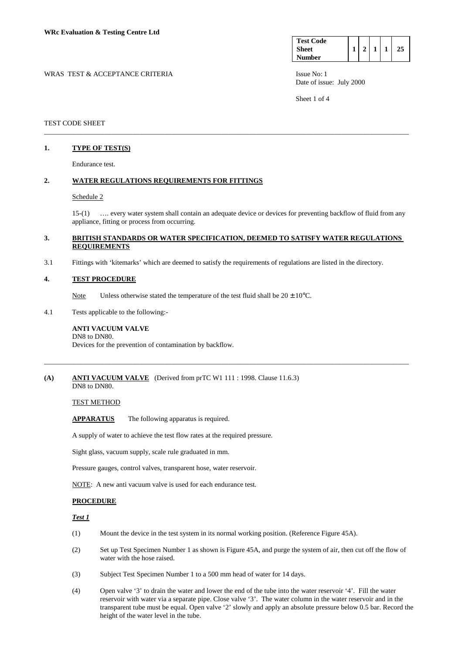| <b>Test Code</b> |  |  |  |
|------------------|--|--|--|
| <b>Sheet</b>     |  |  |  |
| <b>Number</b>    |  |  |  |

WRAS TEST & ACCEPTANCE CRITERIA ISSUE No: 1 Date of issue: July 2000

Sheet 1 of 4

## TEST CODE SHEET

# **1. TYPE OF TEST(S)**

Endurance test.

## **2. WATER REGULATIONS REQUIREMENTS FOR FITTINGS**

### Schedule 2

 15-(1) …. every water system shall contain an adequate device or devices for preventing backflow of fluid from any appliance, fitting or process from occurring.

## **3. BRITISH STANDARDS OR WATER SPECIFICATION, DEEMED TO SATISFY WATER REGULATIONS REQUIREMENTS**

\_\_\_\_\_\_\_\_\_\_\_\_\_\_\_\_\_\_\_\_\_\_\_\_\_\_\_\_\_\_\_\_\_\_\_\_\_\_\_\_\_\_\_\_\_\_\_\_\_\_\_\_\_\_\_\_\_\_\_\_\_\_\_\_\_\_\_\_\_\_\_\_\_\_\_\_\_\_\_\_\_\_\_\_\_\_\_\_\_\_\_\_\_\_\_\_\_\_\_\_\_\_\_

\_\_\_\_\_\_\_\_\_\_\_\_\_\_\_\_\_\_\_\_\_\_\_\_\_\_\_\_\_\_\_\_\_\_\_\_\_\_\_\_\_\_\_\_\_\_\_\_\_\_\_\_\_\_\_\_\_\_\_\_\_\_\_\_\_\_\_\_\_\_\_\_\_\_\_\_\_\_\_\_\_\_\_\_\_\_\_\_\_\_\_\_\_\_\_\_\_\_\_\_\_\_\_

3.1 Fittings with 'kitemarks' which are deemed to satisfy the requirements of regulations are listed in the directory.

## **4. TEST PROCEDURE**

Note Unless otherwise stated the temperature of the test fluid shall be  $20 \pm 10^{\circ}$ C.

4.1 Tests applicable to the following:-

#### **ANTI VACUUM VALVE**  DN8 to DN80.

Devices for the prevention of contamination by backflow.

# **(A) ANTI VACUUM VALVE** (Derived from prTC W1 111 : 1998. Clause 11.6.3)

DN8 to DN80.

## TEST METHOD

**APPARATUS** The following apparatus is required.

A supply of water to achieve the test flow rates at the required pressure.

Sight glass, vacuum supply, scale rule graduated in mm.

Pressure gauges, control valves, transparent hose, water reservoir.

NOTE: A new anti vacuum valve is used for each endurance test.

## **PROCEDURE**

## *Test 1*

- (1) Mount the device in the test system in its normal working position. (Reference Figure 45A).
- (2) Set up Test Specimen Number 1 as shown is Figure 45A, and purge the system of air, then cut off the flow of water with the hose raised.
- (3) Subject Test Specimen Number 1 to a 500 mm head of water for 14 days.
- (4) Open valve '3' to drain the water and lower the end of the tube into the water reservoir '4'. Fill the water reservoir with water via a separate pipe. Close valve '3'. The water column in the water reservoir and in the transparent tube must be equal. Open valve '2' slowly and apply an absolute pressure below 0.5 bar. Record the height of the water level in the tube.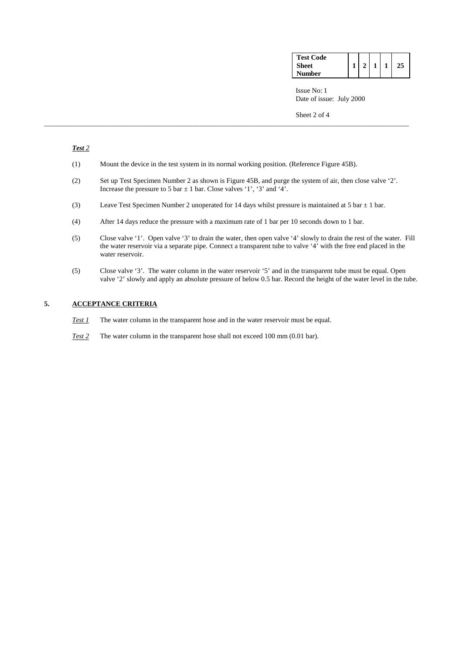| <b>Test Code</b> |              |              |    |  |
|------------------|--------------|--------------|----|--|
| <b>Sheet</b>     | $\mathbf{2}$ | $\mathbf{1}$ | 25 |  |
| <b>Number</b>    |              |              |    |  |

 Issue No: 1 Date of issue: July 2000

Sheet 2 of 4

# *Test 2*

- (1) Mount the device in the test system in its normal working position. (Reference Figure 45B).
- (2) Set up Test Specimen Number 2 as shown is Figure 45B, and purge the system of air, then close valve '2'. Increase the pressure to 5 bar  $\pm$  1 bar. Close valves '1', '3' and '4'.
- (3) Leave Test Specimen Number 2 unoperated for 14 days whilst pressure is maintained at 5 bar  $\pm$  1 bar.

\_\_\_\_\_\_\_\_\_\_\_\_\_\_\_\_\_\_\_\_\_\_\_\_\_\_\_\_\_\_\_\_\_\_\_\_\_\_\_\_\_\_\_\_\_\_\_\_\_\_\_\_\_\_\_\_\_\_\_\_\_\_\_\_\_\_\_\_\_\_\_\_\_\_\_\_\_\_\_\_\_\_\_\_\_\_\_\_\_\_\_\_\_\_\_\_\_\_\_\_\_\_\_

- (4) After 14 days reduce the pressure with a maximum rate of 1 bar per 10 seconds down to 1 bar.
- (5) Close valve '1'. Open valve '3' to drain the water, then open valve '4' slowly to drain the rest of the water. Fill the water reservoir via a separate pipe. Connect a transparent tube to valve '4' with the free end placed in the water reservoir.
- (5) Close valve '3'. The water column in the water reservoir '5' and in the transparent tube must be equal. Open valve '2' slowly and apply an absolute pressure of below 0.5 bar. Record the height of the water level in the tube.

# **5. ACCEPTANCE CRITERIA**

- *Test 1* The water column in the transparent hose and in the water reservoir must be equal.
- *Test 2* The water column in the transparent hose shall not exceed 100 mm (0.01 bar).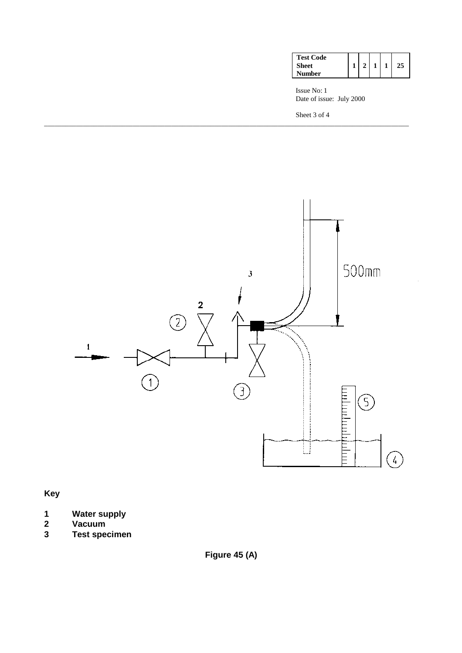| <b>Test Code</b> |                |   |  |
|------------------|----------------|---|--|
| Sheet            | $\overline{2}$ | 1 |  |
| Number           |                |   |  |

 Issue No: 1 Date of issue: July 2000

Sheet 3 of 4



\_\_\_\_\_\_\_\_\_\_\_\_\_\_\_\_\_\_\_\_\_\_\_\_\_\_\_\_\_\_\_\_\_\_\_\_\_\_\_\_\_\_\_\_\_\_\_\_\_\_\_\_\_\_\_\_\_\_\_\_\_\_\_\_\_\_\_\_\_\_\_\_\_\_\_\_\_\_\_\_\_\_\_\_\_\_\_\_\_\_\_\_\_\_\_\_\_\_\_\_\_\_\_

**Key** 

- **1 Water supply**
- **2 Vacuum**
- **3 Test specimen**